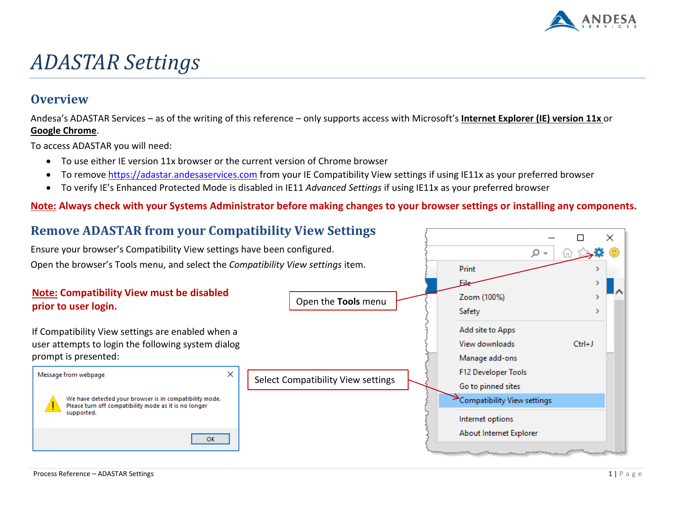

# *ADASTAR Settings*

### **Overview**

Andesa's ADASTAR Services – as of the writing of this reference – only supports access with Microsoft's **Internet Explorer (IE) version 11x** or **Google Chrome**.

To access ADASTAR you will need:

- To use either IE version 11x browser or the current version of Chrome browser
- To remove [https://adastar.andesaservices.com](https://adastar.andesaservices.com/) from your IE Compatibility View settings if using IE11x as your preferred browser
- To verify IE's Enhanced Protected Mode is disabled in IE11 *Advanced Settings* if using IE11x as your preferred browser

#### **Note: Always check with your Systems Administrator before making changes to your browser settings or installing any components.**

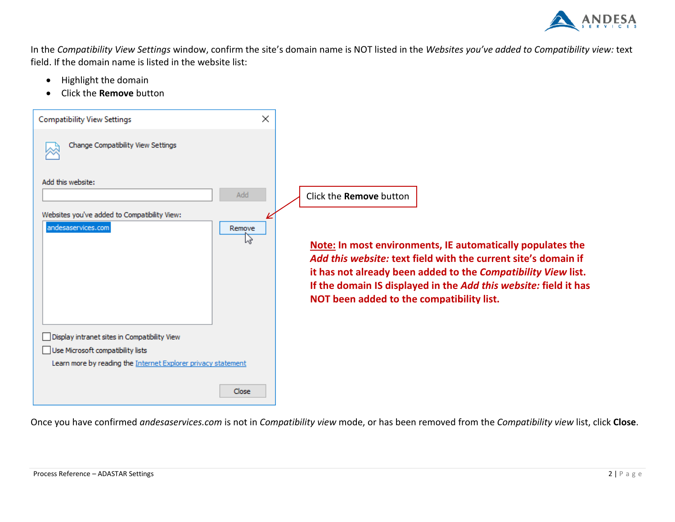

In the *Compatibility View Settings* window, confirm the site's domain name is NOT listed in the *Websites you've added to Compatibility view:* text field. If the domain name is listed in the website list:

- Highlight the domain
- Click the **Remove** button



Once you have confirmed *andesaservices.com* is not in *Compatibility view* mode, or has been removed from the *Compatibility view* list, click **Close**.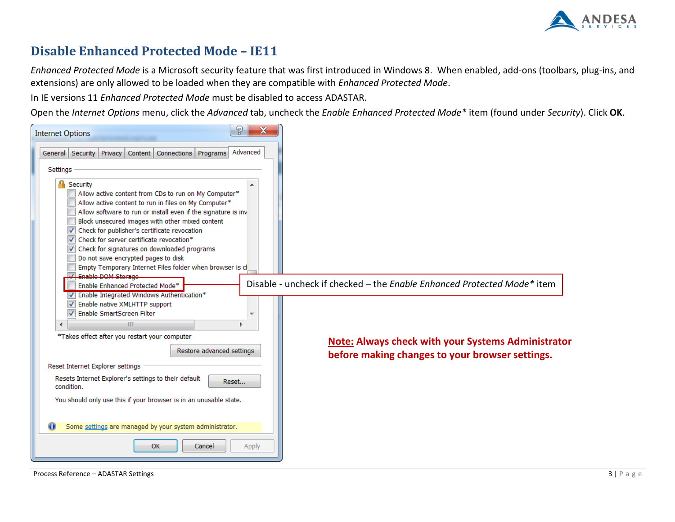

## **Disable Enhanced Protected Mode – IE11**

*Enhanced Protected Mode* is a Microsoft security feature that was first introduced in Windows 8. When enabled, add-ons (toolbars, plug-ins, and extensions) are only allowed to be loaded when they are compatible with *Enhanced Protected Mode*.

In IE versions 11 *Enhanced Protected Mode* must be disabled to access ADASTAR.

Open the *Internet Options* menu, click the *Advanced* tab, uncheck the *Enable Enhanced Protected Mode\** item (found under *Security*). Click **OK**.

| ?<br>$\mathbf x$<br><b>Internet Options</b>                                                                                                                                                                                                                                                                                                                                          |                                                                                                              |
|--------------------------------------------------------------------------------------------------------------------------------------------------------------------------------------------------------------------------------------------------------------------------------------------------------------------------------------------------------------------------------------|--------------------------------------------------------------------------------------------------------------|
| Advanced<br>General Security Privacy<br>Content   Connections   Programs<br>Settings<br>Security<br>Allow active content from CDs to run on My Computer*<br>Allow active content to run in files on My Computer*<br>Allow software to run or install even if the signature is inv<br>Block unsecured images with other mixed content<br>Check for publisher's certificate revocation |                                                                                                              |
| Check for server certificate revocation*<br>Check for signatures on downloaded programs<br>Do not save encrypted pages to disk<br>Empty Temporary Internet Files folder when browser is cl<br><b>Z</b> Enable DOM Storage<br>Enable Enhanced Protected Mode*<br>V Enable Integrated Windows Authentication*<br>Enable native XMLHTTP support                                         | Disable - uncheck if checked – the Enable Enhanced Protected Mode* item                                      |
| Enable SmartScreen Filter<br><b>III</b><br>∢<br>*Takes effect after you restart your computer                                                                                                                                                                                                                                                                                        |                                                                                                              |
| Restore advanced settings<br>Reset Internet Explorer settings                                                                                                                                                                                                                                                                                                                        | <b>Note: Always check with your Systems Administrator</b><br>before making changes to your browser settings. |
| Resets Internet Explorer's settings to their default<br>Reset<br>condition.<br>You should only use this if your browser is in an unusable state.                                                                                                                                                                                                                                     |                                                                                                              |
| Some settings are managed by your system administrator.<br>OK<br>Cancel<br>Apply                                                                                                                                                                                                                                                                                                     |                                                                                                              |